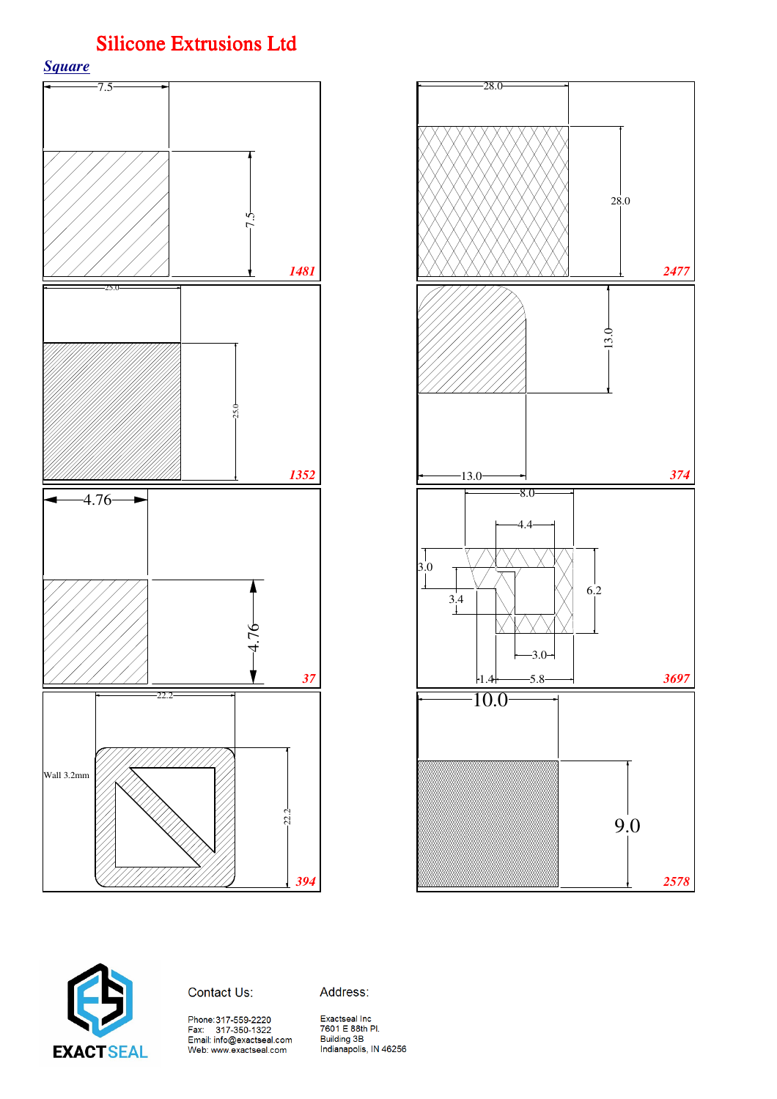

![](_page_0_Figure_2.jpeg)

![](_page_0_Picture_3.jpeg)

#### Contact Us:

Address:

Web: www.exactseal.com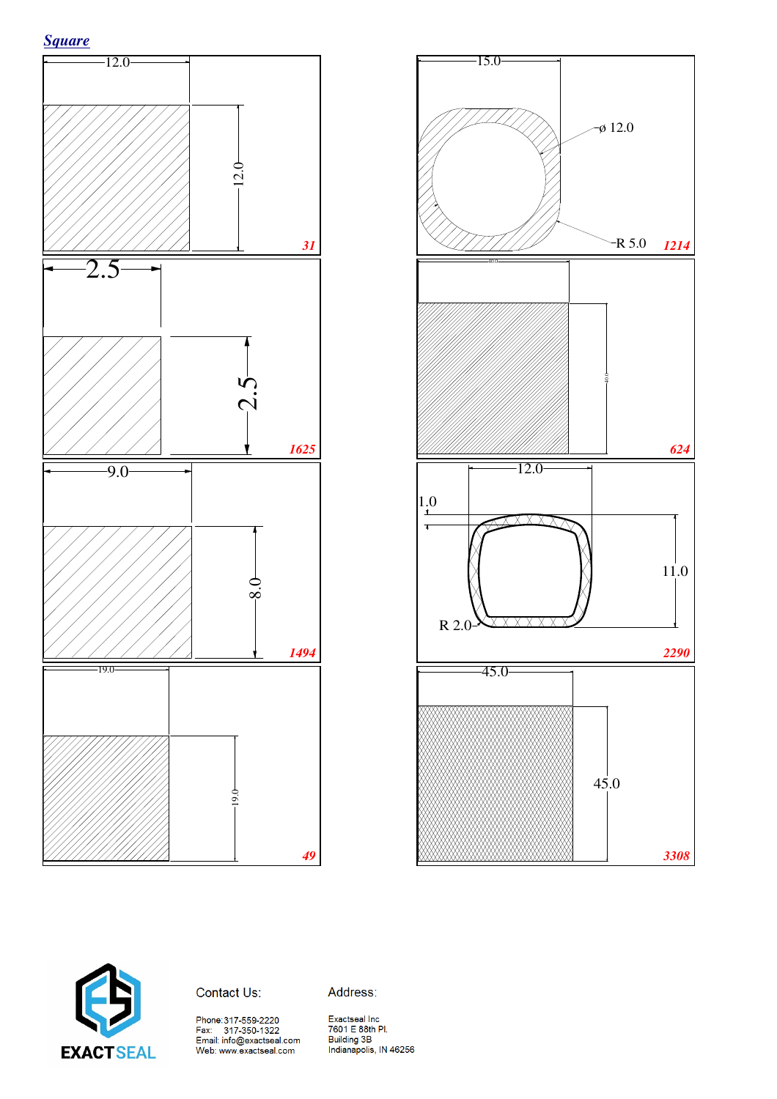![](_page_1_Figure_0.jpeg)

![](_page_1_Figure_1.jpeg)

![](_page_1_Figure_2.jpeg)

![](_page_1_Picture_3.jpeg)

Contact Us:

Address: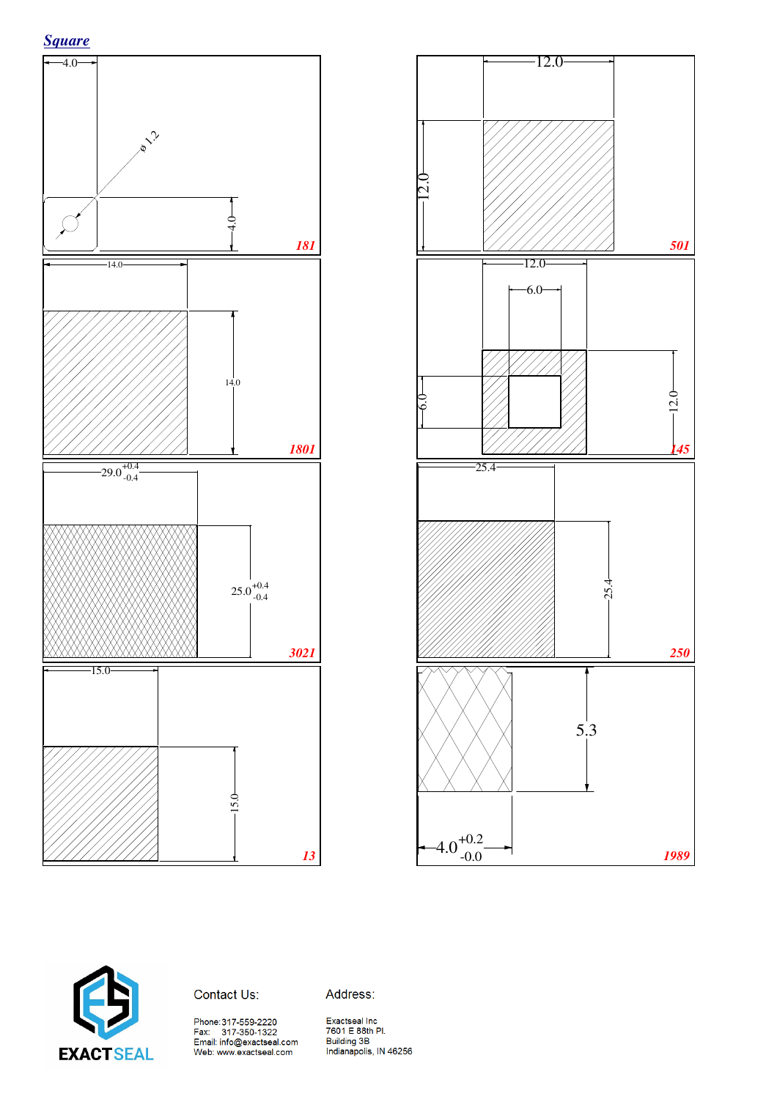![](_page_2_Figure_1.jpeg)

![](_page_2_Figure_2.jpeg)

![](_page_2_Picture_3.jpeg)

Contact Us:

Address: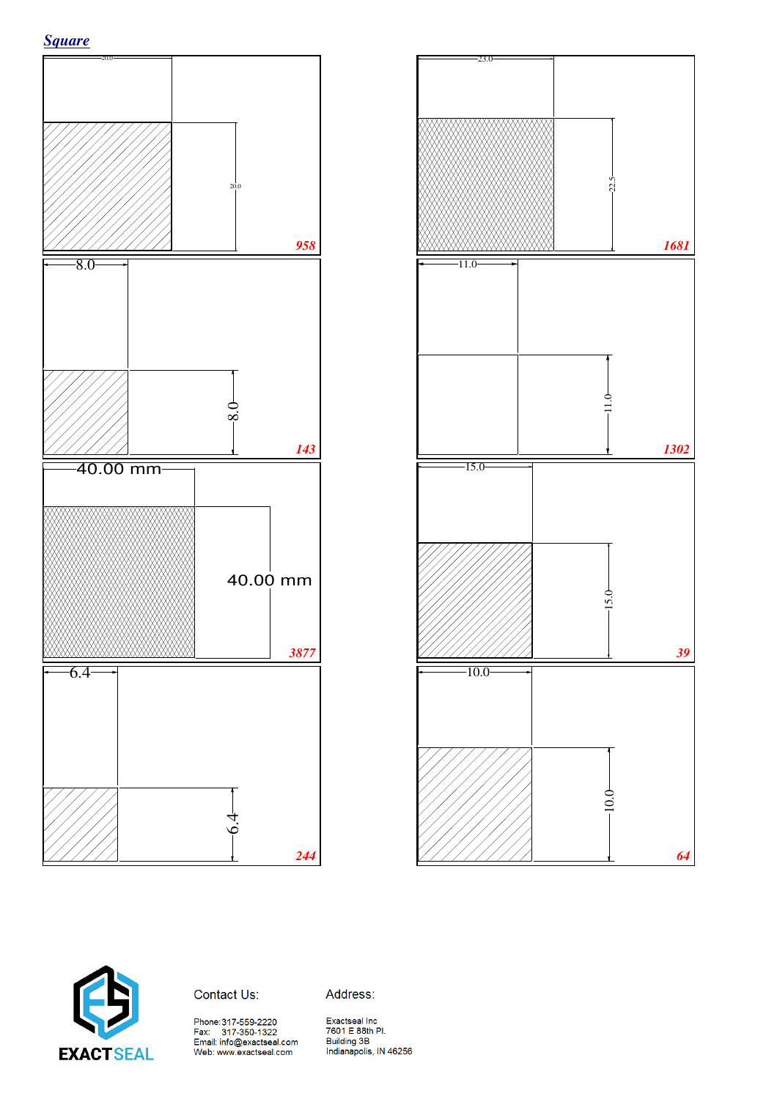![](_page_3_Figure_0.jpeg)

![](_page_3_Figure_1.jpeg)

![](_page_3_Figure_2.jpeg)

![](_page_3_Picture_3.jpeg)

Contact Us:

Address: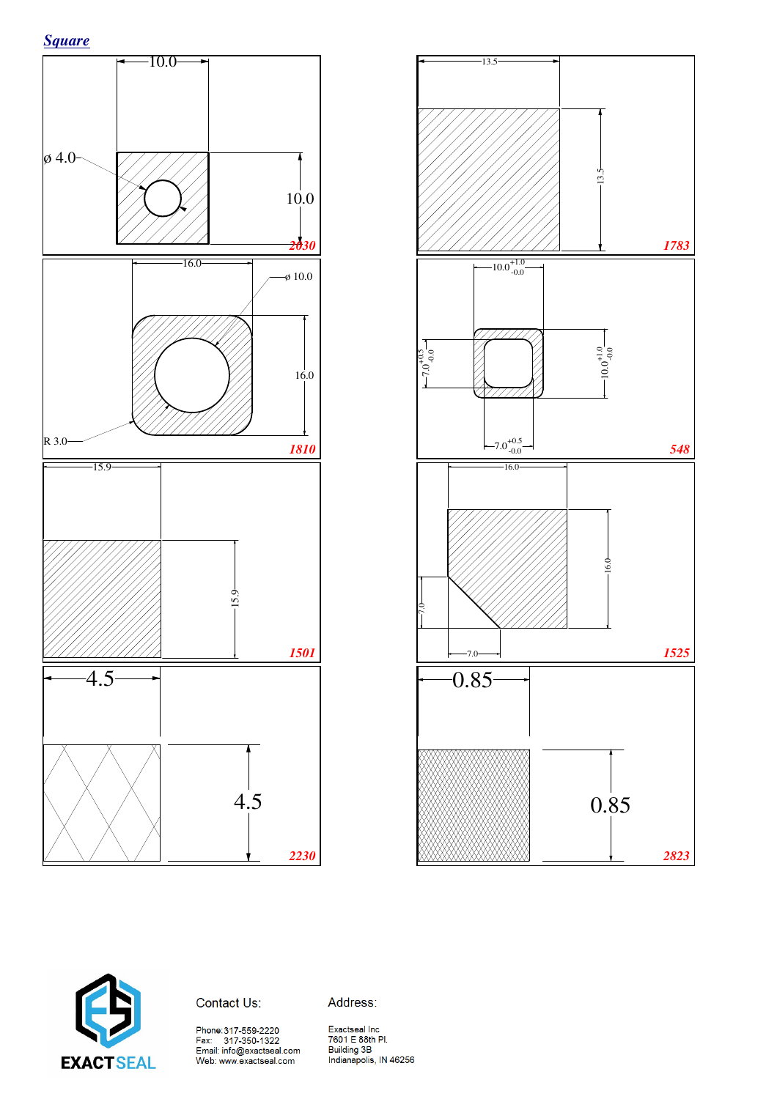![](_page_4_Figure_0.jpeg)

![](_page_4_Figure_1.jpeg)

![](_page_4_Figure_2.jpeg)

![](_page_4_Picture_3.jpeg)

Contact Us:

Address:

Phone:317-559-2220<br>Fax: 317-350-1322<br>Email: info@exactseal.com<br>Web: www.exactseal.com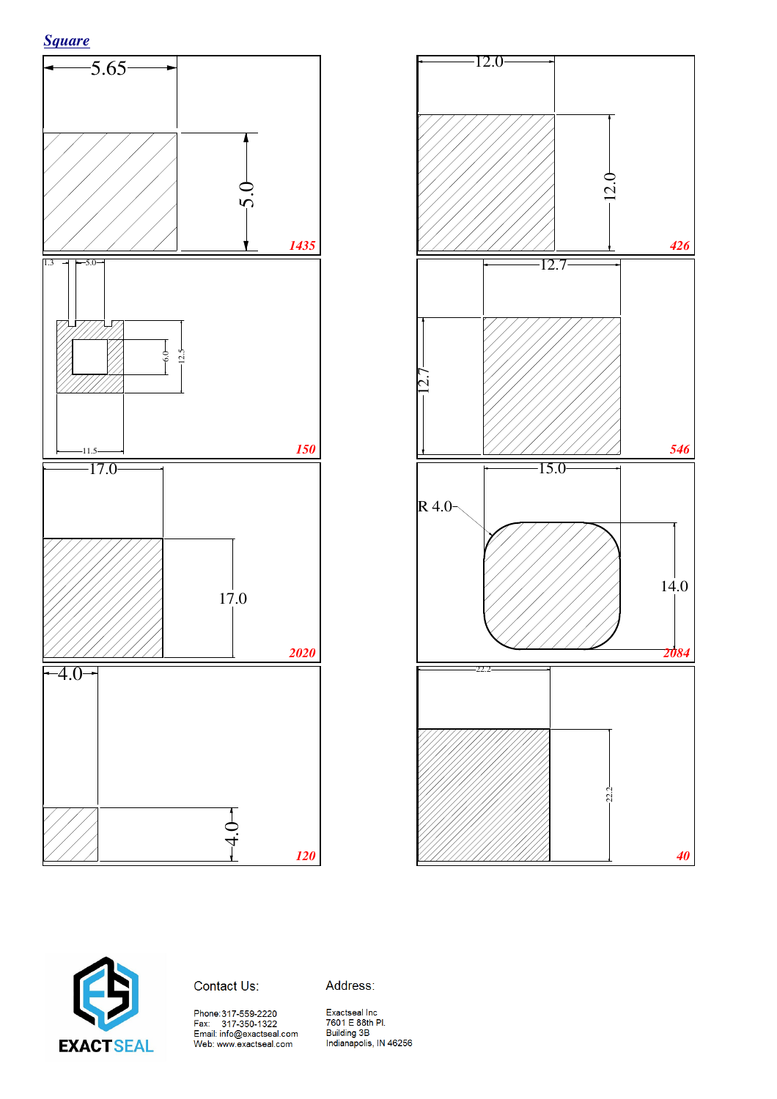![](_page_5_Figure_1.jpeg)

![](_page_5_Figure_2.jpeg)

![](_page_5_Picture_3.jpeg)

#### Contact Us:

Address: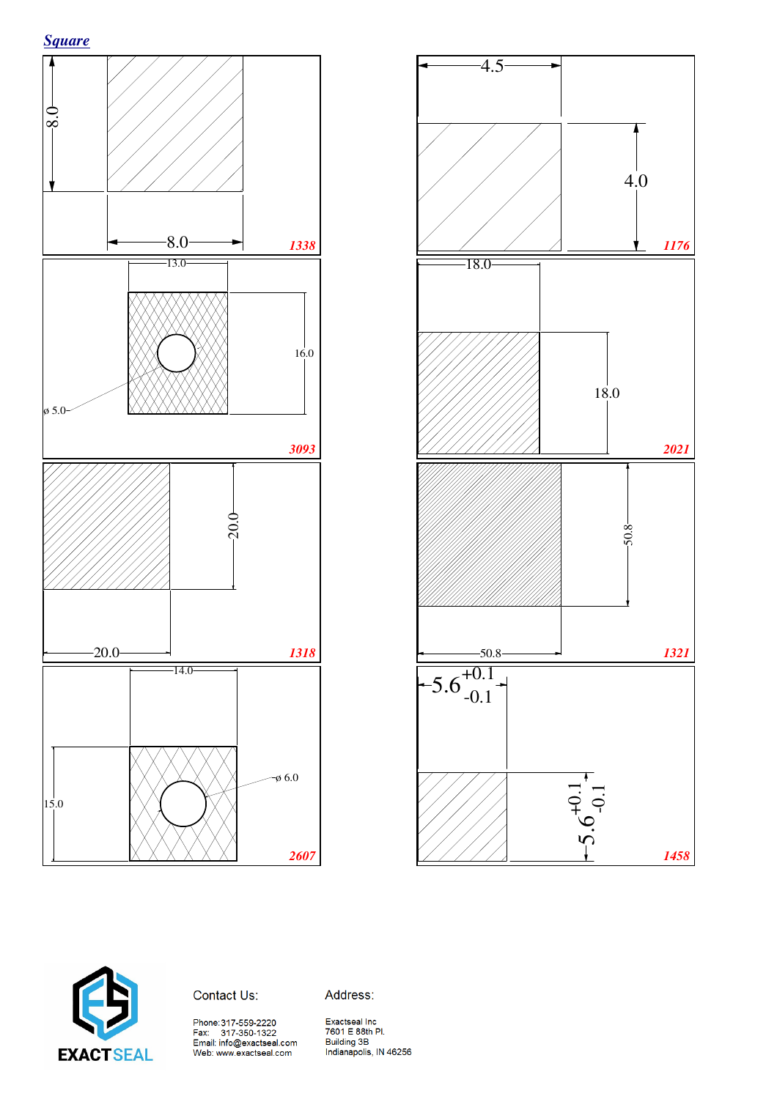![](_page_6_Figure_1.jpeg)

![](_page_6_Figure_2.jpeg)

![](_page_6_Picture_3.jpeg)

Contact Us:

Address:

Phone:317-559-2220<br>Fax: 317-350-1322<br>Email: info@exactseal.com<br>Web: www.exactseal.com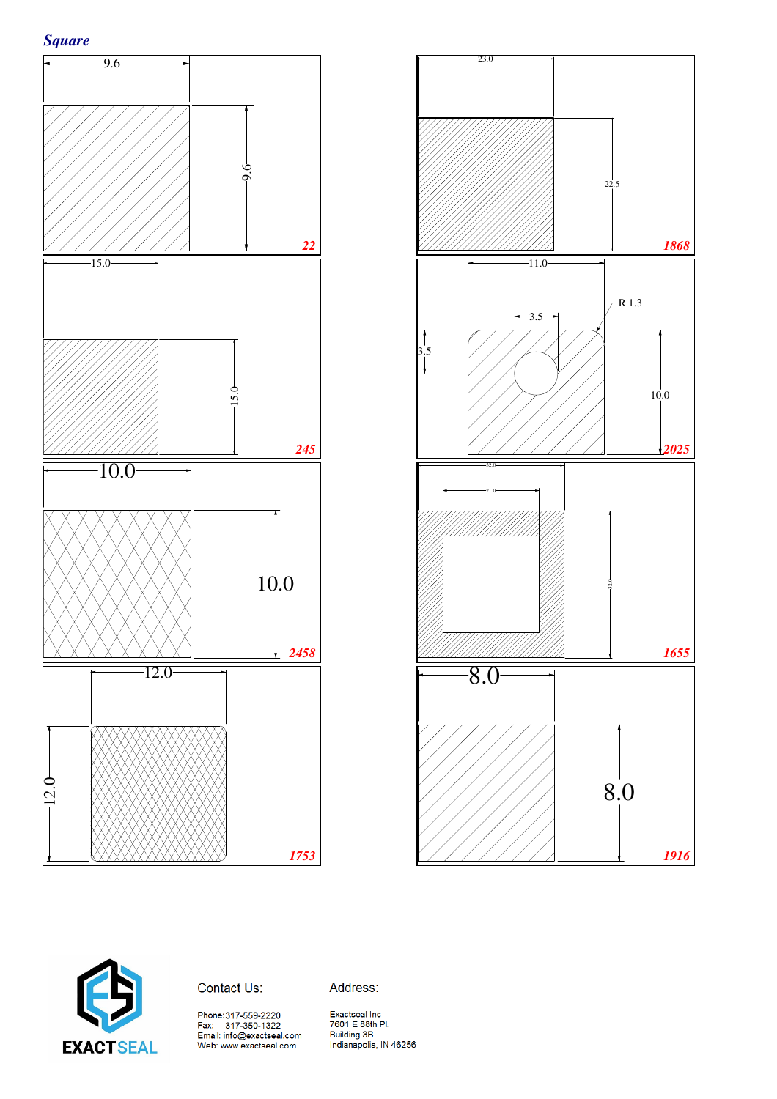![](_page_7_Figure_1.jpeg)

![](_page_7_Figure_2.jpeg)

![](_page_7_Picture_3.jpeg)

Contact Us:

Address: